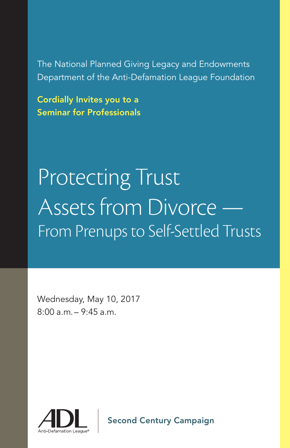The National Planned Giving Legacy and Endowments Department of the Anti-Defamation League Foundation

Cordially Invites you to a Seminar for Professionals

# Protecting Trust Assets from Divorce — From Prenups to Self-Settled Trusts

Wednesday, May 10, 2017 8:00 a.m. – 9:45 a.m.



Second Century Campaign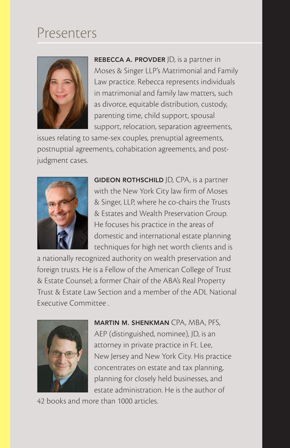# Presenters



REBECCA A. PROVDER JD, is a partner in Moses & Singer LLP's Matrimonial and Family Law practice. Rebecca represents individuals in matrimonial and family law matters, such as divorce, equitable distribution, custody, parenting time, child support, spousal support, relocation, separation agreements,

issues relating to same-sex couples, prenuptial agreements, postnuptial agreements, cohabitation agreements, and postjudgment cases.



GIDEON ROTHSCHILD JD, CPA, is a partner with the New York City law firm of Moses & Singer, LLP, where he co-chairs the Trusts & Estates and Wealth Preservation Group. He focuses his practice in the areas of domestic and international estate planning techniques for high net worth clients and is

a nationally recognized authority on wealth preservation and foreign trusts. He is a Fellow of the American College of Trust & Estate Counsel; a former Chair of the ABA's Real Property Trust & Estate Law Section and a member of the ADL National Executive Committee .



MARTIN M. SHENKMAN CPA, MBA, PFS, AEP (distinguished, nominee), JD, is an attorney in private practice in Ft. Lee, New Jersey and New York City. His practice concentrates on estate and tax planning, planning for closely held businesses, and estate administration. He is the author of

42 books and more than 1000 articles.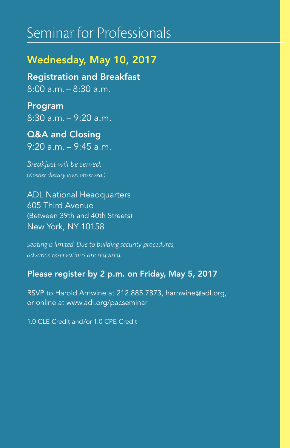## Seminar for Professionals

## Wednesday, May 10, 2017

Registration and Breakfast 8:00 a.m. – 8:30 a.m.

Program 8:30 a.m. – 9:20 a.m.

Q&A and Closing 9:20 a.m. – 9:45 a.m.

*Breakfast will be served. (Kosher dietary laws observed.)*

ADL National Headquarters 605 Third Avenue (Between 39th and 40th Streets) New York, NY 10158

*Seating is limited. Due to building security procedures, advance reservations are required.*

## Please register by 2 p.m. on Friday, May 5, 2017

RSVP to Harold Arnwine at 212.885.7873, harnwine@adl.org, or online at www.adl.org/pacseminar

1.0 CLE Credit and/or 1.0 CPE Credit